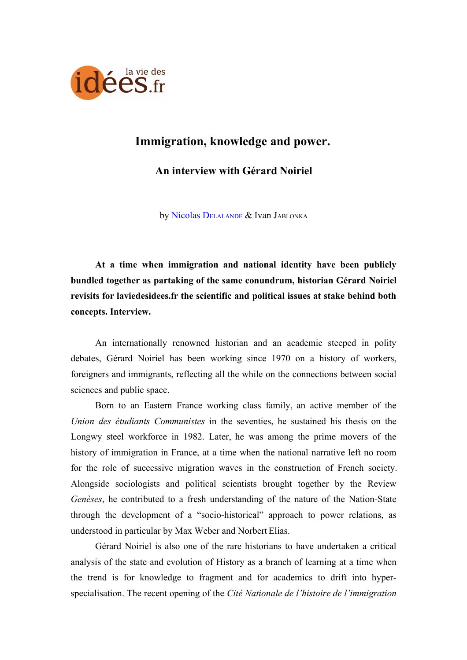

## **Immigration, knowledge and power.**

**An interview with Gérard Noiriel**

by [Nicolas D](http://www.laviedesidees.fr/_Delalande-Nicolas_.html)ELALANDE & [Ivan J](http://www.laviedesidees.fr/_Jablonka-Ivan_.html)ABLONKA

**At a time when immigration and national identity have been publicly bundled together as partaking of the same conundrum, historian Gérard Noiriel revisits for laviedesidees.fr the scientific and political issues at stake behind both concepts. Interview.**

An internationally renowned historian and an academic steeped in polity debates, Gérard Noiriel has been working since 1970 on a history of workers, foreigners and immigrants, reflecting all the while on the connections between social sciences and public space.

Born to an Eastern France working class family, an active member of the *Union des étudiants Communistes* in the seventies, he sustained his thesis on the Longwy steel workforce in 1982. Later, he was among the prime movers of the history of immigration in France, at a time when the national narrative left no room for the role of successive migration waves in the construction of French society. Alongside sociologists and political scientists brought together by the Review *Genèses*, he contributed to a fresh understanding of the nature of the Nation-State through the development of a "socio-historical" approach to power relations, as understood in particular by Max Weber and Norbert Elias.

Gérard Noiriel is also one of the rare historians to have undertaken a critical analysis of the state and evolution of History as a branch of learning at a time when the trend is for knowledge to fragment and for academics to drift into hyperspecialisation. The recent opening of the *Cité Nationale de l'histoire de l'immigration*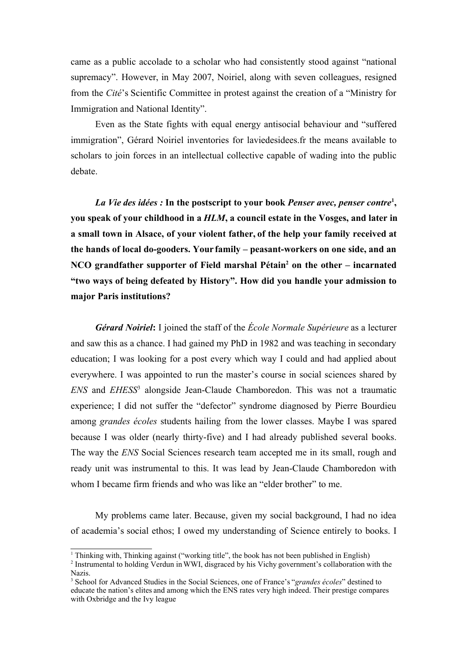came as a public accolade to a scholar who had consistently stood against "national supremacy". However, in May 2007, Noiriel, along with seven colleagues, resigned from the *Cité*'s Scientific Committee in protest against the creation of a "Ministry for Immigration and National Identity".

Even as the State fights with equal energy antisocial behaviour and "suffered immigration", Gérard Noiriel inventories for laviedesidees.fr the means available to scholars to join forces in an intellectual collective capable of wading into the public debate.

*La Vie des idées :* **In the postscript to your book** *Penser avec, penser contre***[1](#page-1-0) , you speak of your childhood in a** *HLM***, a council estate in the Vosges, and later in a small town in Alsace, of your violent father, of the help your family received at the hands of local do-gooders. Your family – peasant-workers on one side, and an NCO grandfather supporter of Field marshal Pétain[2](#page-1-1) on the other – incarnated "two ways of being defeated by History". How did you handle your admission to major Paris institutions?**

*Gérard Noiriel***:** I joined the staff of the *École Normale Supérieure* as a lecturer and saw this as a chance. I had gained my PhD in 1982 and was teaching in secondary education; I was looking for a post every which way I could and had applied about everywhere. I was appointed to run the master's course in social sciences shared by *ENS* and *EHESS*[3](#page-1-2) alongside Jean-Claude Chamboredon. This was not a traumatic experience; I did not suffer the "defector" syndrome diagnosed by Pierre Bourdieu among *grandes écoles* students hailing from the lower classes. Maybe I was spared because I was older (nearly thirty-five) and I had already published several books. The way the *ENS* Social Sciences research team accepted me in its small, rough and ready unit was instrumental to this. It was lead by Jean-Claude Chamboredon with whom I became firm friends and who was like an "elder brother" to me.

My problems came later. Because, given my social background, I had no idea of academia's social ethos; I owed my understanding of Science entirely to books. I

<span id="page-1-0"></span><sup>1</sup> Thinking with, Thinking against ("working title", the book has not been published in English)

<span id="page-1-1"></span><sup>2</sup> Instrumental to holding Verdun in WWI, disgraced by his Vichy government's collaboration with the Nazis.

<span id="page-1-2"></span><sup>3</sup> School for Advanced Studies in the Social Sciences, one of France's "*grandes écoles*" destined to educate the nation's elites and among which the ENS rates very high indeed. Their prestige compares with Oxbridge and the Ivy league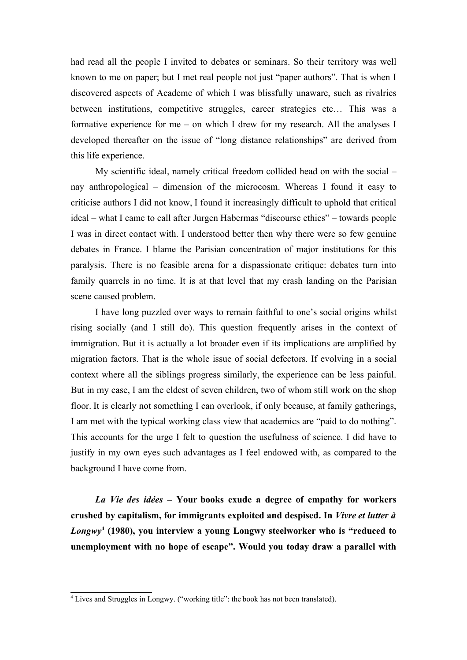had read all the people I invited to debates or seminars. So their territory was well known to me on paper; but I met real people not just "paper authors". That is when I discovered aspects of Academe of which I was blissfully unaware, such as rivalries between institutions, competitive struggles, career strategies etc… This was a formative experience for me – on which I drew for my research. All the analyses I developed thereafter on the issue of "long distance relationships" are derived from this life experience.

My scientific ideal, namely critical freedom collided head on with the social – nay anthropological – dimension of the microcosm. Whereas I found it easy to criticise authors I did not know, I found it increasingly difficult to uphold that critical ideal – what I came to call after Jurgen Habermas "discourse ethics" – towards people I was in direct contact with. I understood better then why there were so few genuine debates in France. I blame the Parisian concentration of major institutions for this paralysis. There is no feasible arena for a dispassionate critique: debates turn into family quarrels in no time. It is at that level that my crash landing on the Parisian scene caused problem.

I have long puzzled over ways to remain faithful to one's social origins whilst rising socially (and I still do). This question frequently arises in the context of immigration. But it is actually a lot broader even if its implications are amplified by migration factors. That is the whole issue of social defectors. If evolving in a social context where all the siblings progress similarly, the experience can be less painful. But in my case, I am the eldest of seven children, two of whom still work on the shop floor. It is clearly not something I can overlook, if only because, at family gatherings, I am met with the typical working class view that academics are "paid to do nothing". This accounts for the urge I felt to question the usefulness of science. I did have to justify in my own eyes such advantages as I feel endowed with, as compared to the background I have come from.

*La Vie des idées –* **Your books exude a degree of empathy for workers crushed by capitalism, for immigrants exploited and despised. In** *Vivre et lutter à Longwy***[4](#page-2-0) (1980), you interview a young Longwy steelworker who is "reduced to unemployment with no hope of escape". Would you today draw a parallel with**

<span id="page-2-0"></span><sup>&</sup>lt;sup>4</sup> Lives and Struggles in Longwy. ("working title": the book has not been translated).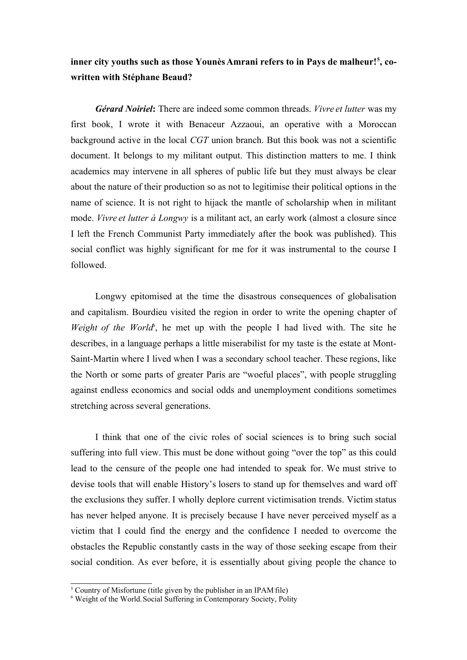## **inner city youths such as those Younès Amrani refers to in Pays de malheur![5](#page-3-0) , cowritten with Stéphane Beaud?**

*Gérard Noiriel***:** There are indeed some common threads. *Vivre et lutter* was my first book, I wrote it with Benaceur Azzaoui, an operative with a Moroccan background active in the local *CGT* union branch. But this book was not a scientific document. It belongs to my militant output. This distinction matters to me. I think academics may intervene in all spheres of public life but they must always be clear about the nature of their production so as not to legitimise their political options in the name of science. It is not right to hijack the mantle of scholarship when in militant mode. *Vivre et lutter à Longwy* is a militant act, an early work (almost a closure since I left the French Communist Party immediately after the book was published). This social conflict was highly significant for me for it was instrumental to the course I followed.

Longwy epitomised at the time the disastrous consequences of globalisation and capitalism. Bourdieu visited the region in order to write the opening chapter of *Weight of the Worl[d](#page-3-1)*<sup>6</sup>, he met up with the people I had lived with. The site he describes, in a language perhaps a little miserabilist for my taste is the estate at Mont-Saint-Martin where I lived when I was a secondary school teacher. These regions, like the North or some parts of greater Paris are "woeful places", with people struggling against endless economics and social odds and unemployment conditions sometimes stretching across several generations.

I think that one of the civic roles of social sciences is to bring such social suffering into full view. This must be done without going "over the top" as this could lead to the censure of the people one had intended to speak for. We must strive to devise tools that will enable History's losers to stand up for themselves and ward off the exclusions they suffer. I wholly deplore current victimisation trends. Victim status has never helped anyone. It is precisely because I have never perceived myself as a victim that I could find the energy and the confidence I needed to overcome the obstacles the Republic constantly casts in the way of those seeking escape from their social condition. As ever before, it is essentially about giving people the chance to

<span id="page-3-0"></span><sup>&</sup>lt;sup>5</sup> Country of Misfortune (title given by the publisher in an IPAM file)

<span id="page-3-1"></span><sup>&</sup>lt;sup>6</sup> Weight of the World. Social Suffering in Contemporary Society, Polity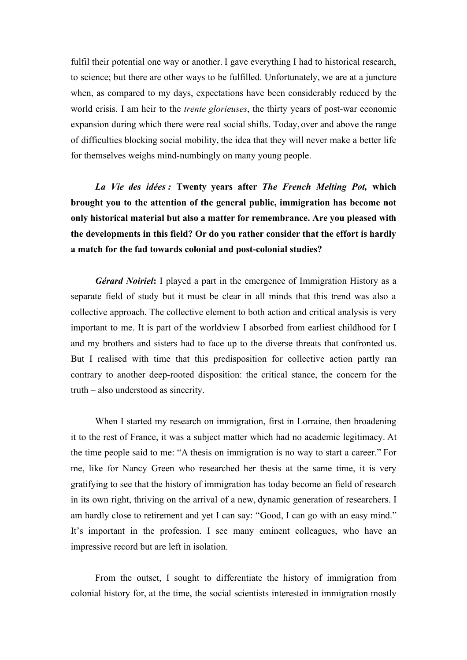fulfil their potential one way or another. I gave everything I had to historical research, to science; but there are other ways to be fulfilled. Unfortunately, we are at a juncture when, as compared to my days, expectations have been considerably reduced by the world crisis. I am heir to the *trente glorieuses*, the thirty years of post-war economic expansion during which there were real social shifts. Today, over and above the range of difficulties blocking social mobility, the idea that they will never make a better life for themselves weighs mind-numbingly on many young people.

*La Vie des idées :* **Twenty years after** *The French Melting Pot,* **which brought you to the attention of the general public, immigration has become not only historical material but also a matter for remembrance. Are you pleased with the developments in this field? Or do you rather consider that the effort is hardly a match for the fad towards colonial and post-colonial studies?**

*Gérard Noiriel***:** I played a part in the emergence of Immigration History as a separate field of study but it must be clear in all minds that this trend was also a collective approach. The collective element to both action and critical analysis is very important to me. It is part of the worldview I absorbed from earliest childhood for I and my brothers and sisters had to face up to the diverse threats that confronted us. But I realised with time that this predisposition for collective action partly ran contrary to another deep-rooted disposition: the critical stance, the concern for the truth – also understood as sincerity.

When I started my research on immigration, first in Lorraine, then broadening it to the rest of France, it was a subject matter which had no academic legitimacy. At the time people said to me: "A thesis on immigration is no way to start a career." For me, like for Nancy Green who researched her thesis at the same time, it is very gratifying to see that the history of immigration has today become an field of research in its own right, thriving on the arrival of a new, dynamic generation of researchers. I am hardly close to retirement and yet I can say: "Good, I can go with an easy mind." It's important in the profession. I see many eminent colleagues, who have an impressive record but are left in isolation.

From the outset, I sought to differentiate the history of immigration from colonial history for, at the time, the social scientists interested in immigration mostly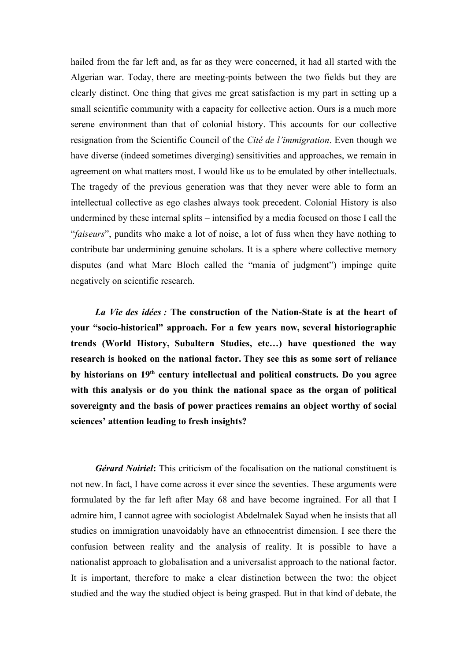hailed from the far left and, as far as they were concerned, it had all started with the Algerian war. Today, there are meeting-points between the two fields but they are clearly distinct. One thing that gives me great satisfaction is my part in setting up a small scientific community with a capacity for collective action. Ours is a much more serene environment than that of colonial history. This accounts for our collective resignation from the Scientific Council of the *Cité de l'immigration*. Even though we have diverse (indeed sometimes diverging) sensitivities and approaches, we remain in agreement on what matters most. I would like us to be emulated by other intellectuals. The tragedy of the previous generation was that they never were able to form an intellectual collective as ego clashes always took precedent. Colonial History is also undermined by these internal splits – intensified by a media focused on those I call the "*faiseurs*", pundits who make a lot of noise, a lot of fuss when they have nothing to contribute bar undermining genuine scholars. It is a sphere where collective memory disputes (and what Marc Bloch called the "mania of judgment") impinge quite negatively on scientific research.

*La Vie des idées :* **The construction of the Nation-State is at the heart of your "socio-historical" approach. For a few years now, several historiographic trends (World History, Subaltern Studies, etc…) have questioned the way research is hooked on the national factor. They see this as some sort of reliance by historians on 19th century intellectual and political constructs. Do you agree with this analysis or do you think the national space as the organ of political sovereignty and the basis of power practices remains an object worthy of social sciences' attention leading to fresh insights?**

*Gérard Noiriel***:** This criticism of the focalisation on the national constituent is not new. In fact, I have come across it ever since the seventies. These arguments were formulated by the far left after May 68 and have become ingrained. For all that I admire him, I cannot agree with sociologist Abdelmalek Sayad when he insists that all studies on immigration unavoidably have an ethnocentrist dimension. I see there the confusion between reality and the analysis of reality. It is possible to have a nationalist approach to globalisation and a universalist approach to the national factor. It is important, therefore to make a clear distinction between the two: the object studied and the way the studied object is being grasped. But in that kind of debate, the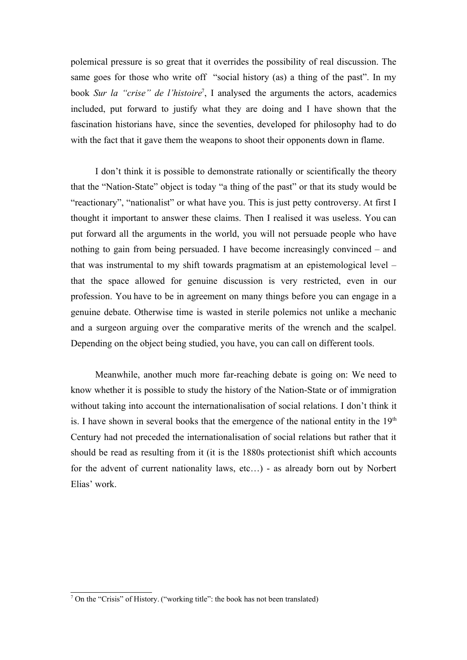polemical pressure is so great that it overrides the possibility of real discussion. The same goes for those who write off "social history (as) a thing of the past". In my book *Sur la "crise" de l'histoire*[7](#page-6-0) , I analysed the arguments the actors, academics included, put forward to justify what they are doing and I have shown that the fascination historians have, since the seventies, developed for philosophy had to do with the fact that it gave them the weapons to shoot their opponents down in flame.

I don't think it is possible to demonstrate rationally or scientifically the theory that the "Nation-State" object is today "a thing of the past" or that its study would be "reactionary", "nationalist" or what have you. This is just petty controversy. At first I thought it important to answer these claims. Then I realised it was useless. You can put forward all the arguments in the world, you will not persuade people who have nothing to gain from being persuaded. I have become increasingly convinced – and that was instrumental to my shift towards pragmatism at an epistemological level – that the space allowed for genuine discussion is very restricted, even in our profession. You have to be in agreement on many things before you can engage in a genuine debate. Otherwise time is wasted in sterile polemics not unlike a mechanic and a surgeon arguing over the comparative merits of the wrench and the scalpel. Depending on the object being studied, you have, you can call on different tools.

Meanwhile, another much more far-reaching debate is going on: We need to know whether it is possible to study the history of the Nation-State or of immigration without taking into account the internationalisation of social relations. I don't think it is. I have shown in several books that the emergence of the national entity in the  $19<sup>th</sup>$ Century had not preceded the internationalisation of social relations but rather that it should be read as resulting from it (it is the 1880s protectionist shift which accounts for the advent of current nationality laws, etc…) - as already born out by Norbert Elias' work.

<span id="page-6-0"></span><sup>&</sup>lt;sup>7</sup> On the "Crisis" of History. ("working title": the book has not been translated)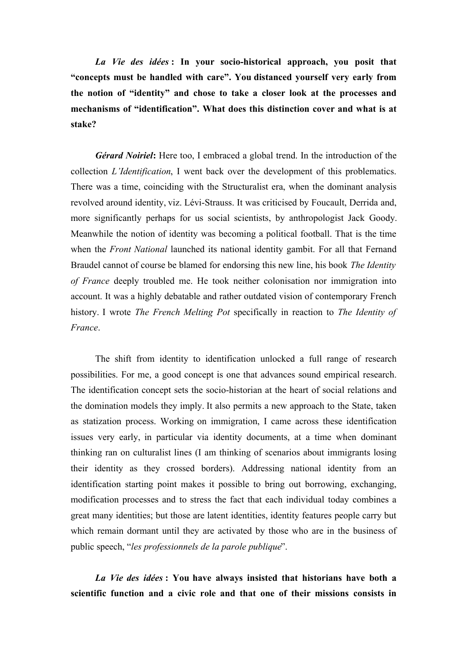*La Vie des idées* **: In your socio-historical approach, you posit that "concepts must be handled with care". You distanced yourself very early from the notion of "identity" and chose to take a closer look at the processes and mechanisms of "identification". What does this distinction cover and what is at stake?**

*Gérard Noiriel***:** Here too, I embraced a global trend. In the introduction of the collection *L'Identification*, I went back over the development of this problematics. There was a time, coinciding with the Structuralist era, when the dominant analysis revolved around identity, viz. Lévi-Strauss. It was criticised by Foucault, Derrida and, more significantly perhaps for us social scientists, by anthropologist Jack Goody. Meanwhile the notion of identity was becoming a political football. That is the time when the *Front National* launched its national identity gambit. For all that Fernand Braudel cannot of course be blamed for endorsing this new line, his book *The Identity of France* deeply troubled me. He took neither colonisation nor immigration into account. It was a highly debatable and rather outdated vision of contemporary French history. I wrote *The French Melting Pot* specifically in reaction to *The Identity of France*.

The shift from identity to identification unlocked a full range of research possibilities. For me, a good concept is one that advances sound empirical research. The identification concept sets the socio-historian at the heart of social relations and the domination models they imply. It also permits a new approach to the State, taken as statization process. Working on immigration, I came across these identification issues very early, in particular via identity documents, at a time when dominant thinking ran on culturalist lines (I am thinking of scenarios about immigrants losing their identity as they crossed borders). Addressing national identity from an identification starting point makes it possible to bring out borrowing, exchanging, modification processes and to stress the fact that each individual today combines a great many identities; but those are latent identities, identity features people carry but which remain dormant until they are activated by those who are in the business of public speech, "*les professionnels de la parole publique*".

*La Vie des idées* **: You have always insisted that historians have both a scientific function and a civic role and that one of their missions consists in**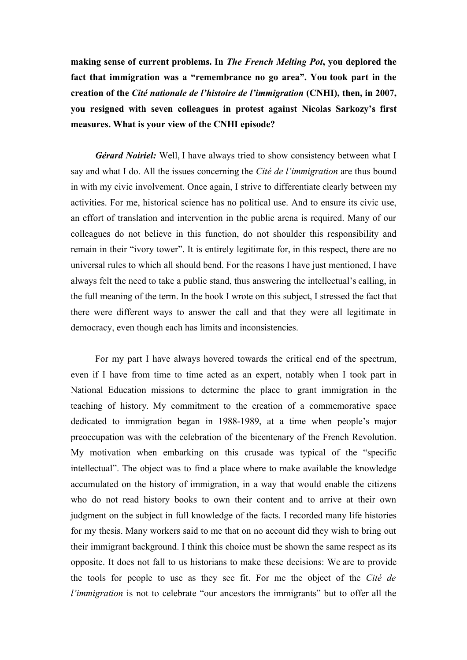**making sense of current problems. In** *The French Melting Pot***, you deplored the fact that immigration was a "remembrance no go area". You took part in the creation of the** *Cité nationale de l'histoire de l'immigration* **(CNHI), then, in 2007, you resigned with seven colleagues in protest against Nicolas Sarkozy's first measures. What is your view of the CNHI episode?**

*Gérard Noiriel:* Well, I have always tried to show consistency between what I say and what I do. All the issues concerning the *Cité de l'immigration* are thus bound in with my civic involvement. Once again, I strive to differentiate clearly between my activities. For me, historical science has no political use. And to ensure its civic use, an effort of translation and intervention in the public arena is required. Many of our colleagues do not believe in this function, do not shoulder this responsibility and remain in their "ivory tower". It is entirely legitimate for, in this respect, there are no universal rules to which all should bend. For the reasons I have just mentioned, I have always felt the need to take a public stand, thus answering the intellectual's calling, in the full meaning of the term. In the book I wrote on this subject, I stressed the fact that there were different ways to answer the call and that they were all legitimate in democracy, even though each has limits and inconsistencies.

For my part I have always hovered towards the critical end of the spectrum, even if I have from time to time acted as an expert, notably when I took part in National Education missions to determine the place to grant immigration in the teaching of history. My commitment to the creation of a commemorative space dedicated to immigration began in 1988-1989, at a time when people's major preoccupation was with the celebration of the bicentenary of the French Revolution. My motivation when embarking on this crusade was typical of the "specific intellectual". The object was to find a place where to make available the knowledge accumulated on the history of immigration, in a way that would enable the citizens who do not read history books to own their content and to arrive at their own judgment on the subject in full knowledge of the facts. I recorded many life histories for my thesis. Many workers said to me that on no account did they wish to bring out their immigrant background. I think this choice must be shown the same respect as its opposite. It does not fall to us historians to make these decisions: We are to provide the tools for people to use as they see fit. For me the object of the *Cité de l'immigration* is not to celebrate "our ancestors the immigrants" but to offer all the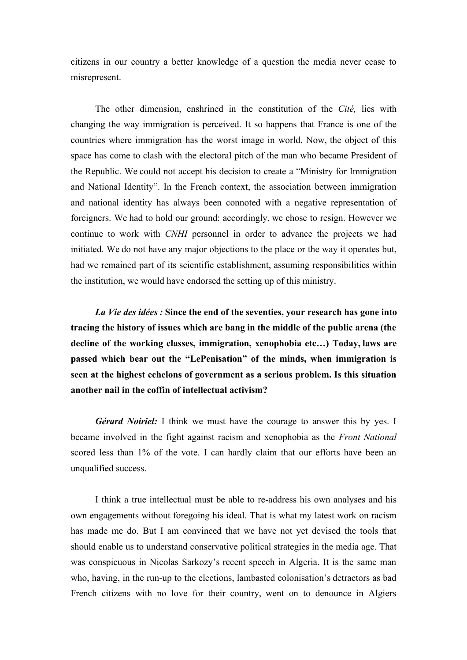citizens in our country a better knowledge of a question the media never cease to misrepresent.

The other dimension, enshrined in the constitution of the *Cité,* lies with changing the way immigration is perceived. It so happens that France is one of the countries where immigration has the worst image in world. Now, the object of this space has come to clash with the electoral pitch of the man who became President of the Republic. We could not accept his decision to create a "Ministry for Immigration and National Identity". In the French context, the association between immigration and national identity has always been connoted with a negative representation of foreigners. We had to hold our ground: accordingly, we chose to resign. However we continue to work with *CNHI* personnel in order to advance the projects we had initiated. We do not have any major objections to the place or the way it operates but, had we remained part of its scientific establishment, assuming responsibilities within the institution, we would have endorsed the setting up of this ministry.

*La Vie des idées :* **Since the end of the seventies, your research has gone into tracing the history of issues which are bang in the middle of the public arena (the decline of the working classes, immigration, xenophobia etc…) Today, laws are passed which bear out the "LePenisation" of the minds, when immigration is seen at the highest echelons of government as a serious problem. Is this situation another nail in the coffin of intellectual activism?**

*Gérard Noiriel:* I think we must have the courage to answer this by yes. I became involved in the fight against racism and xenophobia as the *Front National* scored less than 1% of the vote. I can hardly claim that our efforts have been an unqualified success.

I think a true intellectual must be able to re-address his own analyses and his own engagements without foregoing his ideal. That is what my latest work on racism has made me do. But I am convinced that we have not yet devised the tools that should enable us to understand conservative political strategies in the media age. That was conspicuous in Nicolas Sarkozy's recent speech in Algeria. It is the same man who, having, in the run-up to the elections, lambasted colonisation's detractors as bad French citizens with no love for their country, went on to denounce in Algiers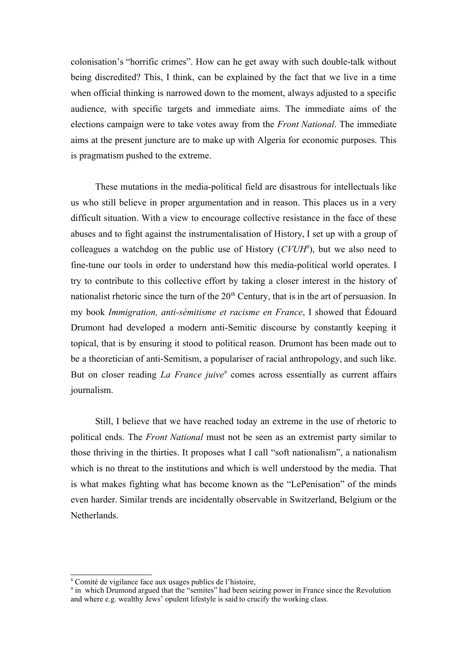colonisation's "horrific crimes". How can he get away with such double-talk without being discredited? This, I think, can be explained by the fact that we live in a time when official thinking is narrowed down to the moment, always adjusted to a specific audience, with specific targets and immediate aims. The immediate aims of the elections campaign were to take votes away from the *Front National*. The immediate aims at the present juncture are to make up with Algeria for economic purposes. This is pragmatism pushed to the extreme.

These mutations in the media-political field are disastrous for intellectuals like us who still believe in proper argumentation and in reason. This places us in a very difficult situation. With a view to encourage collective resistance in the face of these abuses and to fight against the instrumentalisation of History, I set up with a group of colleagues a watchdog on the public use of History (*CVUH[8](#page-10-0)* ), but we also need to fine-tune our tools in order to understand how this media-political world operates. I try to contribute to this collective effort by taking a closer interest in the history of nationalist rhetoric since the turn of the  $20<sup>th</sup>$  Century, that is in the art of persuasion. In my book *Immigration, anti-sémitisme et racisme en France*, I showed that Édouard Drumont had developed a modern anti-Semitic discourse by constantly keeping it topical, that is by ensuring it stood to political reason. Drumont has been made out to be a theoretician of anti-Semitism, a populariser of racial anthropology, and such like. But on closer reading *La France juive[9](#page-10-1)* comes across essentially as current affairs journalism.

Still, I believe that we have reached today an extreme in the use of rhetoric to political ends. The *Front National* must not be seen as an extremist party similar to those thriving in the thirties. It proposes what I call "soft nationalism", a nationalism which is no threat to the institutions and which is well understood by the media. That is what makes fighting what has become known as the "LePenisation" of the minds even harder. Similar trends are incidentally observable in Switzerland, Belgium or the **Netherlands** 

<span id="page-10-0"></span><sup>8</sup> Comité de vigilance face aux usages publics de l'histoire,

<span id="page-10-1"></span><sup>&</sup>lt;sup>9</sup> in which Drumond argued that the "semites" had been seizing power in France since the Revolution and where e.g. wealthy Jews' opulent lifestyle is said to crucify the working class.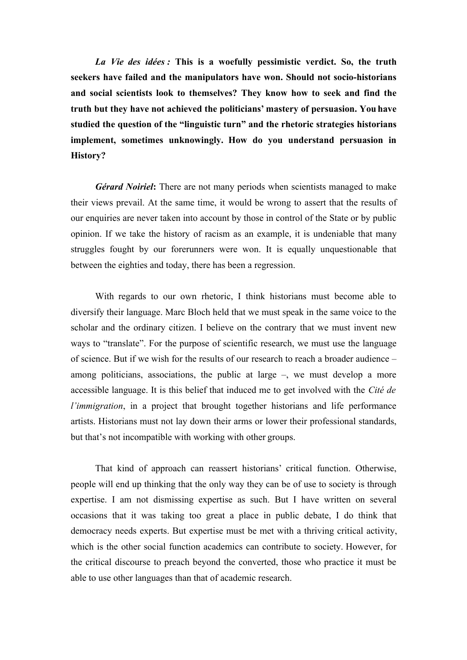*La Vie des idées :* **This is a woefully pessimistic verdict. So, the truth seekers have failed and the manipulators have won. Should not socio-historians and social scientists look to themselves? They know how to seek and find the truth but they have not achieved the politicians' mastery of persuasion. You have studied the question of the "linguistic turn" and the rhetoric strategies historians implement, sometimes unknowingly. How do you understand persuasion in History?**

*Gérard Noiriel***:** There are not many periods when scientists managed to make their views prevail. At the same time, it would be wrong to assert that the results of our enquiries are never taken into account by those in control of the State or by public opinion. If we take the history of racism as an example, it is undeniable that many struggles fought by our forerunners were won. It is equally unquestionable that between the eighties and today, there has been a regression.

With regards to our own rhetoric, I think historians must become able to diversify their language. Marc Bloch held that we must speak in the same voice to the scholar and the ordinary citizen. I believe on the contrary that we must invent new ways to "translate". For the purpose of scientific research, we must use the language of science. But if we wish for the results of our research to reach a broader audience – among politicians, associations, the public at large –, we must develop a more accessible language. It is this belief that induced me to get involved with the *Cité de l'immigration*, in a project that brought together historians and life performance artists. Historians must not lay down their arms or lower their professional standards, but that's not incompatible with working with other groups.

That kind of approach can reassert historians' critical function. Otherwise, people will end up thinking that the only way they can be of use to society is through expertise. I am not dismissing expertise as such. But I have written on several occasions that it was taking too great a place in public debate, I do think that democracy needs experts. But expertise must be met with a thriving critical activity, which is the other social function academics can contribute to society. However, for the critical discourse to preach beyond the converted, those who practice it must be able to use other languages than that of academic research.